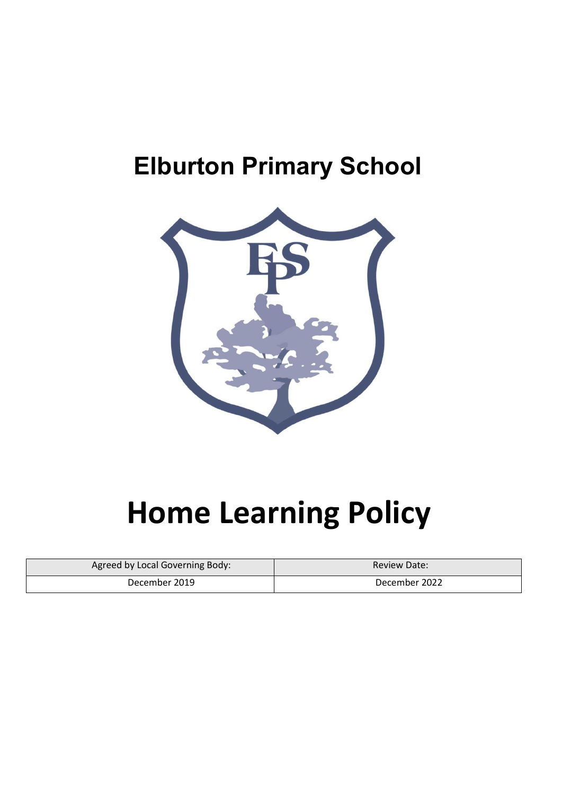## **Elburton Primary School**



## **Home Learning Policy**

| Agreed by Local Governing Body: | <b>Review Date:</b> |  |
|---------------------------------|---------------------|--|
| December 2019                   | December 2022       |  |